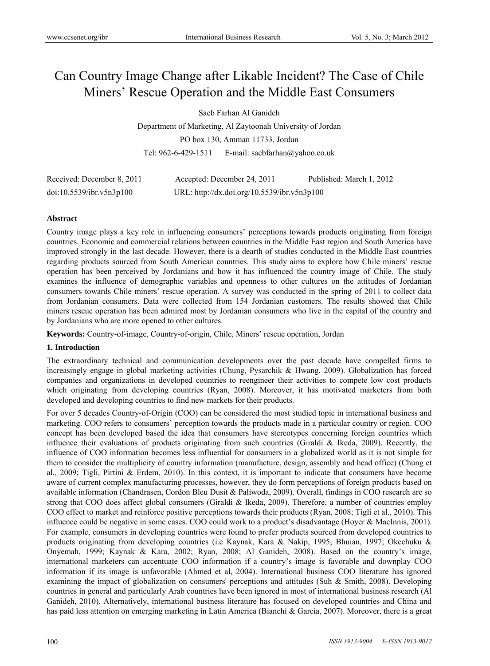# Can Country Image Change after Likable Incident? The Case of Chile Miners' Rescue Operation and the Middle East Consumers

Saeb Farhan Al Ganideh

Department of Marketing, Al Zaytoonah University of Jordan PO box 130, Amman 11733, Jordan Tel: 962-6-429-1511 E-mail: saebfarhan@yahoo.co.uk

| Received: December 8, 2011 | Accepted: December 24, 2011                 | Published: March 1, 2012 |
|----------------------------|---------------------------------------------|--------------------------|
| doi:10.5539/ibr.v5n3p100   | URL: http://dx.doi.org/10.5539/ibr.v5n3p100 |                          |

# **Abstract**

Country image plays a key role in influencing consumers' perceptions towards products originating from foreign countries. Economic and commercial relations between countries in the Middle East region and South America have improved strongly in the last decade. However, there is a dearth of studies conducted in the Middle East countries regarding products sourced from South American countries. This study aims to explore how Chile miners' rescue operation has been perceived by Jordanians and how it has influenced the country image of Chile. The study examines the influence of demographic variables and openness to other cultures on the attitudes of Jordanian consumers towards Chile miners' rescue operation. A survey was conducted in the spring of 2011 to collect data from Jordanian consumers. Data were collected from 154 Jordanian customers. The results showed that Chile miners rescue operation has been admired most by Jordanian consumers who live in the capital of the country and by Jordanians who are more opened to other cultures.

**Keywords:** Country-of-image, Country-of-origin, Chile, Miners' rescue operation, Jordan

#### **1. Introduction**

The extraordinary technical and communication developments over the past decade have compelled firms to increasingly engage in global marketing activities (Chung, Pysarchik & Hwang, 2009). Globalization has forced companies and organizations in developed countries to reengineer their activities to compete low cost products which originating from developing countries (Ryan, 2008). Moreover, it has motivated marketers from both developed and developing countries to find new markets for their products.

For over 5 decades Country-of-Origin (COO) can be considered the most studied topic in international business and marketing. COO refers to consumers' perception towards the products made in a particular country or region. COO concept has been developed based the idea that consumers have stereotypes concerning foreign countries which influence their evaluations of products originating from such countries (Giraldi & Ikeda, 2009). Recently, the influence of COO information becomes less influential for consumers in a globalized world as it is not simple for them to consider the multiplicity of country information (manufacture, design, assembly and head office) (Chung et al., 2009; Tigli, Pirtini & Erdem, 2010). In this context, it is important to indicate that consumers have become aware of current complex manufacturing processes, however, they do form perceptions of foreign products based on available information (Chandrasen, Cordon Bleu Dusit & Paliwoda, 2009). Overall, findings in COO research are so strong that COO does affect global consumers (Giraldi & Ikeda, 2009). Therefore, a number of countries employ COO effect to market and reinforce positive perceptions towards their products (Ryan, 2008; Tigli et al., 2010). This influence could be negative in some cases. COO could work to a product's disadvantage (Hoyer & MacInnis, 2001). For example, consumers in developing countries were found to prefer products sourced from developed countries to products originating from developing countries (i.e Kaynak, Kara & Nakip, 1995; Bhuian, 1997; Okechuku & Onyemah, 1999; Kaynak & Kara, 2002; Ryan, 2008; Al Ganideh, 2008). Based on the country's image, international marketers can accentuate COO information if a country's image is favorable and downplay COO information if its image is unfavorable (Ahmed et al, 2004). International business COO literature has ignored examining the impact of globalization on consumers' perceptions and attitudes (Suh & Smith, 2008). Developing countries in general and particularly Arab countries have been ignored in most of international business research (Al Ganideh, 2010). Alternatively, international business literature has focused on developed countries and China and has paid less attention on emerging marketing in Latin America (Bianchi & Garcia, 2007). Moreover, there is a great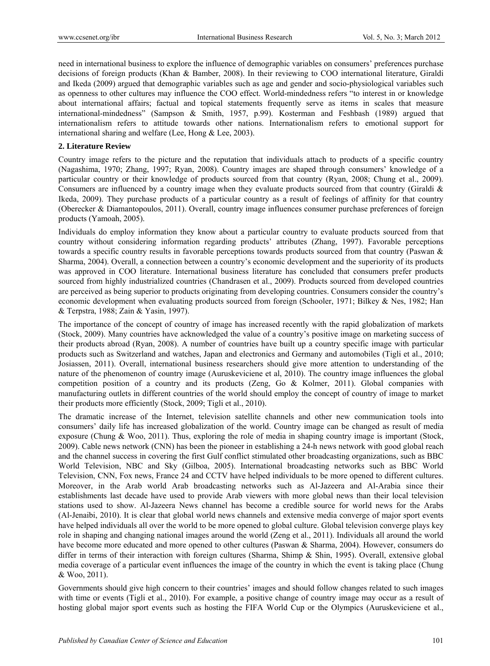need in international business to explore the influence of demographic variables on consumers' preferences purchase decisions of foreign products (Khan & Bamber, 2008). In their reviewing to COO international literature, Giraldi and Ikeda (2009) argued that demographic variables such as age and gender and socio-physiological variables such as openness to other cultures may influence the COO effect. World-mindedness refers "to interest in or knowledge about international affairs; factual and topical statements frequently serve as items in scales that measure international-mindedness" (Sampson & Smith, 1957, p.99). Kosterman and Feshbash (1989) argued that internationalism refers to attitude towards other nations. Internationalism refers to emotional support for international sharing and welfare (Lee, Hong & Lee, 2003).

# **2. Literature Review**

Country image refers to the picture and the reputation that individuals attach to products of a specific country (Nagashima, 1970; Zhang, 1997; Ryan, 2008). Country images are shaped through consumers' knowledge of a particular country or their knowledge of products sourced from that country (Ryan, 2008; Chung et al., 2009). Consumers are influenced by a country image when they evaluate products sourced from that country (Giraldi & Ikeda, 2009). They purchase products of a particular country as a result of feelings of affinity for that country (Oberecker & Diamantopoulos, 2011). Overall, country image influences consumer purchase preferences of foreign products (Yamoah, 2005).

Individuals do employ information they know about a particular country to evaluate products sourced from that country without considering information regarding products' attributes (Zhang, 1997). Favorable perceptions towards a specific country results in favorable perceptions towards products sourced from that country (Paswan & Sharma, 2004). Overall, a connection between a country's economic development and the superiority of its products was approved in COO literature. International business literature has concluded that consumers prefer products sourced from highly industrialized countries (Chandrasen et al., 2009). Products sourced from developed countries are perceived as being superior to products originating from developing countries. Consumers consider the country's economic development when evaluating products sourced from foreign (Schooler, 1971; Bilkey & Nes, 1982; Han & Terpstra, 1988; Zain & Yasin, 1997).

The importance of the concept of country of image has increased recently with the rapid globalization of markets (Stock, 2009). Many countries have acknowledged the value of a country's positive image on marketing success of their products abroad (Ryan, 2008). A number of countries have built up a country specific image with particular products such as Switzerland and watches, Japan and electronics and Germany and automobiles (Tigli et al., 2010; Josiassen, 2011). Overall, international business researchers should give more attention to understanding of the nature of the phenomenon of country image (Auruskeviciene et al, 2010). The country image influences the global competition position of a country and its products (Zeng, Go & Kolmer, 2011). Global companies with manufacturing outlets in different countries of the world should employ the concept of country of image to market their products more efficiently (Stock, 2009; Tigli et al., 2010).

The dramatic increase of the Internet, television satellite channels and other new communication tools into consumers' daily life has increased globalization of the world. Country image can be changed as result of media exposure (Chung & Woo, 2011). Thus, exploring the role of media in shaping country image is important (Stock, 2009). Cable news network (CNN) has been the pioneer in establishing a 24-h news network with good global reach and the channel success in covering the first Gulf conflict stimulated other broadcasting organizations, such as BBC World Television, NBC and Sky (Gilboa, 2005). International broadcasting networks such as BBC World Television, CNN, Fox news, France 24 and CCTV have helped individuals to be more opened to different cultures. Moreover, in the Arab world Arab broadcasting networks such as Al-Jazeera and Al-Arabia since their establishments last decade have used to provide Arab viewers with more global news than their local television stations used to show. Al-Jazeera News channel has become a credible source for world news for the Arabs (Al-Jenaibi, 2010). It is clear that global world news channels and extensive media converge of major sport events have helped individuals all over the world to be more opened to global culture. Global television converge plays key role in shaping and changing national images around the world (Zeng et al., 2011). Individuals all around the world have become more educated and more opened to other cultures (Paswan & Sharma, 2004). However, consumers do differ in terms of their interaction with foreign cultures (Sharma, Shimp & Shin, 1995). Overall, extensive global media coverage of a particular event influences the image of the country in which the event is taking place (Chung & Woo, 2011).

Governments should give high concern to their countries' images and should follow changes related to such images with time or events (Tigli et al., 2010). For example, a positive change of country image may occur as a result of hosting global major sport events such as hosting the FIFA World Cup or the Olympics (Auruskeviciene et al.,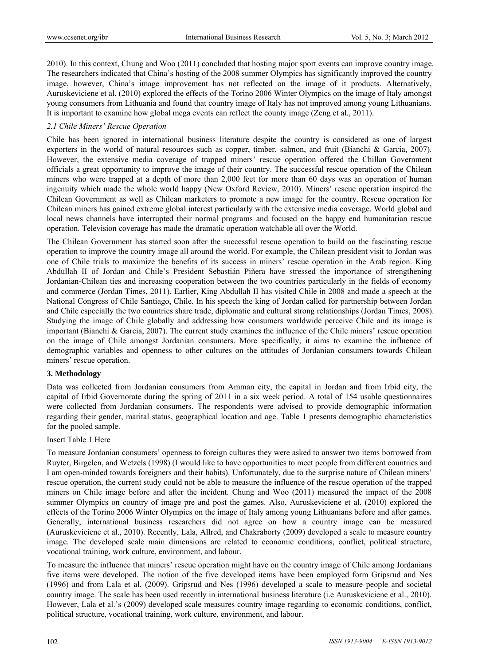2010). In this context, Chung and Woo (2011) concluded that hosting major sport events can improve country image. The researchers indicated that China's hosting of the 2008 summer Olympics has significantly improved the country image, however, China's image improvement has not reflected on the image of it products. Alternatively, Auruskeviciene et al. (2010) explored the effects of the Torino 2006 Winter Olympics on the image of Italy amongst young consumers from Lithuania and found that country image of Italy has not improved among young Lithuanians. It is important to examine how global mega events can reflect the county image (Zeng et al., 2011).

# *2.1 Chile Miners' Rescue Operation*

Chile has been ignored in international business literature despite the country is considered as one of largest exporters in the world of natural resources such as copper, timber, salmon, and fruit (Bianchi & Garcia, 2007). However, the extensive media coverage of trapped miners' rescue operation offered the Chillan Government officials a great opportunity to improve the image of their country. The successful rescue operation of the Chilean miners who were trapped at a depth of more than 2,000 feet for more than 60 days was an operation of human ingenuity which made the whole world happy (New Oxford Review, 2010). Miners' rescue operation inspired the Chilean Government as well as Chilean marketers to promote a new image for the country. Rescue operation for Chilean miners has gained extreme global interest particularly with the extensive media coverage. World global and local news channels have interrupted their normal programs and focused on the happy end humanitarian rescue operation. Television coverage has made the dramatic operation watchable all over the World.

The Chilean Government has started soon after the successful rescue operation to build on the fascinating rescue operation to improve the country image all around the world. For example, the Chilean president visit to Jordan was one of Chile trials to maximize the benefits of its success in miners' rescue operation in the Arab region. King Abdullah II of Jordan and Chile's President Sebastián Piñera have stressed the importance of strengthening Jordanian-Chilean ties and increasing cooperation between the two countries particularly in the fields of economy and commerce (Jordan Times, 2011). Earlier, King Abdullah II has visited Chile in 2008 and made a speech at the National Congress of Chile Santiago, Chile. In his speech the king of Jordan called for partnership between Jordan and Chile especially the two countries share trade, diplomatic and cultural strong relationships (Jordan Times, 2008). Studying the image of Chile globally and addressing how consumers worldwide perceive Chile and its image is important (Bianchi & Garcia, 2007). The current study examines the influence of the Chile miners' rescue operation on the image of Chile amongst Jordanian consumers. More specifically, it aims to examine the influence of demographic variables and openness to other cultures on the attitudes of Jordanian consumers towards Chilean miners' rescue operation.

# **3. Methodology**

Data was collected from Jordanian consumers from Amman city, the capital in Jordan and from Irbid city, the capital of Irbid Governorate during the spring of 2011 in a six week period. A total of 154 usable questionnaires were collected from Jordanian consumers. The respondents were advised to provide demographic information regarding their gender, marital status, geographical location and age. Table 1 presents demographic characteristics for the pooled sample.

# Insert Table 1 Here

To measure Jordanian consumers' openness to foreign cultures they were asked to answer two items borrowed from Ruyter, Birgelen, and Wetzels (1998) (I would like to have opportunities to meet people from different countries and I am open-minded towards foreigners and their habits). Unfortunately, due to the surprise nature of Chilean miners' rescue operation, the current study could not be able to measure the influence of the rescue operation of the trapped miners on Chile image before and after the incident. Chung and Woo (2011) measured the impact of the 2008 summer Olympics on country of image pre and post the games. Also, Auruskeviciene et al. (2010) explored the effects of the Torino 2006 Winter Olympics on the image of Italy among young Lithuanians before and after games. Generally, international business researchers did not agree on how a country image can be measured (Auruskeviciene et al., 2010). Recently, Lala, Allred, and Chakraborty (2009) developed a scale to measure country image. The developed scale main dimensions are related to economic conditions, conflict, political structure, vocational training, work culture, environment, and labour.

To measure the influence that miners' rescue operation might have on the country image of Chile among Jordanians five items were developed. The notion of the five developed items have been employed form Gripsrud and Nes (1996) and from Lala et al. (2009). Gripsrud and Nes (1996) developed a scale to measure people and societal country image. The scale has been used recently in international business literature (i.e Auruskeviciene et al., 2010). However, Lala et al.'s (2009) developed scale measures country image regarding to economic conditions, conflict, political structure, vocational training, work culture, environment, and labour.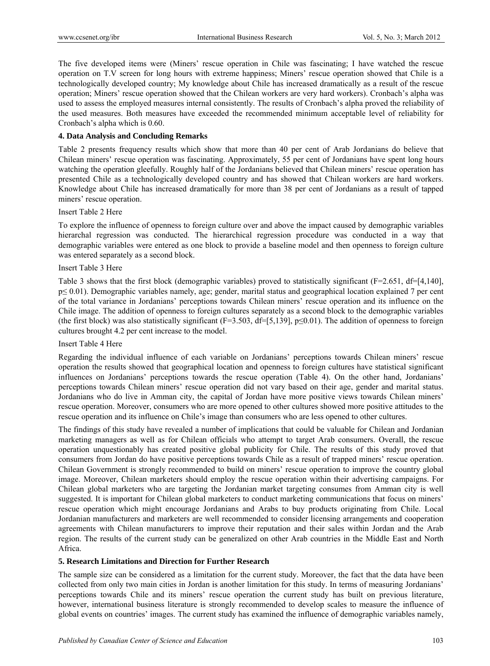The five developed items were (Miners' rescue operation in Chile was fascinating; I have watched the rescue operation on T.V screen for long hours with extreme happiness; Miners' rescue operation showed that Chile is a technologically developed country; My knowledge about Chile has increased dramatically as a result of the rescue operation; Miners' rescue operation showed that the Chilean workers are very hard workers). Cronbach's alpha was used to assess the employed measures internal consistently. The results of Cronbach's alpha proved the reliability of the used measures. Both measures have exceeded the recommended minimum acceptable level of reliability for Cronbach's alpha which is 0.60.

# **4. Data Analysis and Concluding Remarks**

Table 2 presents frequency results which show that more than 40 per cent of Arab Jordanians do believe that Chilean miners' rescue operation was fascinating. Approximately, 55 per cent of Jordanians have spent long hours watching the operation gleefully. Roughly half of the Jordanians believed that Chilean miners' rescue operation has presented Chile as a technologically developed country and has showed that Chilean workers are hard workers. Knowledge about Chile has increased dramatically for more than 38 per cent of Jordanians as a result of tapped miners' rescue operation.

#### Insert Table 2 Here

To explore the influence of openness to foreign culture over and above the impact caused by demographic variables hierarchal regression was conducted. The hierarchical regression procedure was conducted in a way that demographic variables were entered as one block to provide a baseline model and then openness to foreign culture was entered separately as a second block.

#### Insert Table 3 Here

Table 3 shows that the first block (demographic variables) proved to statistically significant ( $F=2.651$ , d $F=4,140$ ], p≤ 0.01). Demographic variables namely, age; gender, marital status and geographical location explained 7 per cent of the total variance in Jordanians' perceptions towards Chilean miners' rescue operation and its influence on the Chile image. The addition of openness to foreign cultures separately as a second block to the demographic variables (the first block) was also statistically significant (F=3.503, df=[5,139], p $\leq$ 0.01). The addition of openness to foreign cultures brought 4.2 per cent increase to the model.

# Insert Table 4 Here

Regarding the individual influence of each variable on Jordanians' perceptions towards Chilean miners' rescue operation the results showed that geographical location and openness to foreign cultures have statistical significant influences on Jordanians' perceptions towards the rescue operation (Table 4). On the other hand, Jordanians' perceptions towards Chilean miners' rescue operation did not vary based on their age, gender and marital status. Jordanians who do live in Amman city, the capital of Jordan have more positive views towards Chilean miners' rescue operation. Moreover, consumers who are more opened to other cultures showed more positive attitudes to the rescue operation and its influence on Chile's image than consumers who are less opened to other cultures.

The findings of this study have revealed a number of implications that could be valuable for Chilean and Jordanian marketing managers as well as for Chilean officials who attempt to target Arab consumers. Overall, the rescue operation unquestionably has created positive global publicity for Chile. The results of this study proved that consumers from Jordan do have positive perceptions towards Chile as a result of trapped miners' rescue operation. Chilean Government is strongly recommended to build on miners' rescue operation to improve the country global image. Moreover, Chilean marketers should employ the rescue operation within their advertising campaigns. For Chilean global marketers who are targeting the Jordanian market targeting consumes from Amman city is well suggested. It is important for Chilean global marketers to conduct marketing communications that focus on miners' rescue operation which might encourage Jordanians and Arabs to buy products originating from Chile. Local Jordanian manufacturers and marketers are well recommended to consider licensing arrangements and cooperation agreements with Chilean manufacturers to improve their reputation and their sales within Jordan and the Arab region. The results of the current study can be generalized on other Arab countries in the Middle East and North Africa.

# **5. Research Limitations and Direction for Further Research**

The sample size can be considered as a limitation for the current study. Moreover, the fact that the data have been collected from only two main cities in Jordan is another limitation for this study. In terms of measuring Jordanians' perceptions towards Chile and its miners' rescue operation the current study has built on previous literature, however, international business literature is strongly recommended to develop scales to measure the influence of global events on countries' images. The current study has examined the influence of demographic variables namely,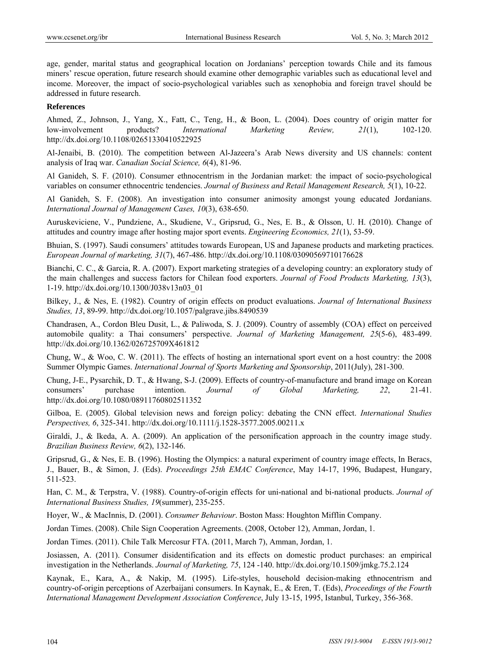age, gender, marital status and geographical location on Jordanians' perception towards Chile and its famous miners' rescue operation, future research should examine other demographic variables such as educational level and income. Moreover, the impact of socio-psychological variables such as xenophobia and foreign travel should be addressed in future research.

### **References**

Ahmed, Z., Johnson, J., Yang, X., Fatt, C., Teng, H., & Boon, L. (2004). Does country of origin matter for low-involvement products? *International Marketing Review, 21*(1), 102-120. http://dx.doi.org/10.1108/02651330410522925

Al-Jenaibi, B. (2010). The competition between Al-Jazeera's Arab News diversity and US channels: content analysis of Iraq war. *Canadian Social Science, 6*(4), 81-96.

Al Ganideh, S. F. (2010). Consumer ethnocentrism in the Jordanian market: the impact of socio-psychological variables on consumer ethnocentric tendencies. *Journal of Business and Retail Management Research, 5*(1), 10-22.

Al Ganideh, S. F. (2008). An investigation into consumer animosity amongst young educated Jordanians. *International Journal of Management Cases, 10*(3), 638-650.

Auruskeviciene, V., Pundziene, A., Skudiene, V., Gripsrud, G., Nes, E. B., & Olsson, U. H. (2010). Change of attitudes and country image after hosting major sport events. *Engineering Economics, 21*(1), 53-59.

Bhuian, S. (1997). Saudi consumers' attitudes towards European, US and Japanese products and marketing practices. *European Journal of marketing, 31*(7), 467-486. http://dx.doi.org/10.1108/03090569710176628

Bianchi, C. C., & Garcia, R. A. (2007). Export marketing strategies of a developing country: an exploratory study of the main challenges and success factors for Chilean food exporters. *Journal of Food Products Marketing, 13*(3), 1-19. http://dx.doi.org/10.1300/J038v13n03\_01

Bilkey, J., & Nes, E. (1982). Country of origin effects on product evaluations. *Journal of International Business Studies, 13*, 89-99. http://dx.doi.org/10.1057/palgrave.jibs.8490539

Chandrasen, A., Cordon Bleu Dusit, L., & Paliwoda, S. J. (2009). Country of assembly (COA) effect on perceived automobile quality: a Thai consumers' perspective. *Journal of Marketing Management, 25*(5-6), 483-499. http://dx.doi.org/10.1362/026725709X461812

Chung, W., & Woo, C. W. (2011). The effects of hosting an international sport event on a host country: the 2008 Summer Olympic Games. *International Journal of Sports Marketing and Sponsorship*, 2011(July), 281-300.

Chung, J-E., Pysarchik, D. T., & Hwang, S-J. (2009). Effects of country-of-manufacture and brand image on Korean consumers' purchase intention. *Journal of Global Marketing, 22*, 21-41. http://dx.doi.org/10.1080/08911760802511352

Gilboa, E. (2005). Global television news and foreign policy: debating the CNN effect. *International Studies Perspectives, 6*, 325-341. http://dx.doi.org/10.1111/j.1528-3577.2005.00211.x

Giraldi, J., & Ikeda, A. A. (2009). An application of the personification approach in the country image study. *Brazilian Business Review, 6*(2), 132-146.

Gripsrud, G., & Nes, E. B. (1996). Hosting the Olympics: a natural experiment of country image effects, In Beracs, J., Bauer, B., & Simon, J. (Eds). *Proceedings 25th EMAC Conference*, May 14-17, 1996, Budapest, Hungary, 511-523.

Han, C. M., & Terpstra, V. (1988). Country-of-origin effects for uni-national and bi-national products. *Journal of International Business Studies, 19*(summer), 235-255.

Hoyer, W., & MacInnis, D. (2001). *Consumer Behaviour*. Boston Mass: Houghton Mifflin Company.

Jordan Times. (2008). Chile Sign Cooperation Agreements. (2008, October 12), Amman, Jordan, 1.

Jordan Times. (2011). Chile Talk Mercosur FTA. (2011, March 7), Amman, Jordan, 1.

Josiassen, A. (2011). Consumer disidentification and its effects on domestic product purchases: an empirical investigation in the Netherlands. *Journal of Marketing, 75*, 124 -140. http://dx.doi.org/10.1509/jmkg.75.2.124

Kaynak, E., Kara, A., & Nakip, M. (1995). Life-styles, household decision-making ethnocentrism and country-of-origin perceptions of Azerbaijani consumers. In Kaynak, E., & Eren, T. (Eds), *Proceedings of the Fourth International Management Development Association Conference*, July 13-15, 1995, Istanbul, Turkey, 356-368.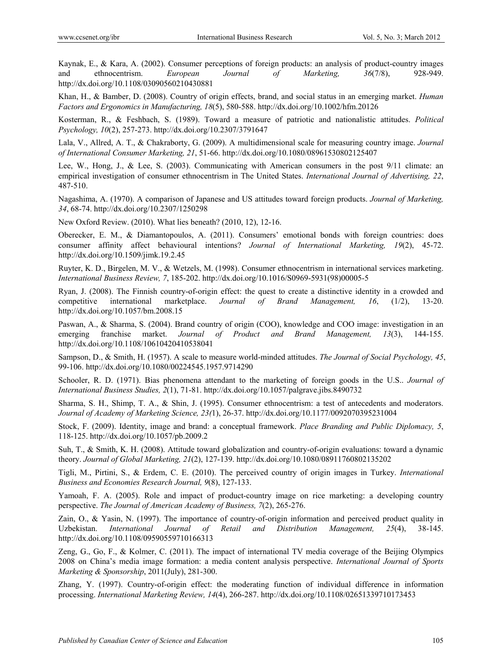Kaynak, E., & Kara, A. (2002). Consumer perceptions of foreign products: an analysis of product-country images and ethnocentrism. *European Journal of Marketing, 36*(7/8), 928-949. http://dx.doi.org/10.1108/03090560210430881

Khan, H., & Bamber, D. (2008). Country of origin effects, brand, and social status in an emerging market. *Human Factors and Ergonomics in Manufacturing, 18*(5), 580-588. http://dx.doi.org/10.1002/hfm.20126

Kosterman, R., & Feshbach, S. (1989). Toward a measure of patriotic and nationalistic attitudes. *Political Psychology, 10*(2), 257-273. http://dx.doi.org/10.2307/3791647

Lala, V., Allred, A. T., & Chakraborty, G. (2009). A multidimensional scale for measuring country image. *Journal of International Consumer Marketing, 21*, 51-66. http://dx.doi.org/10.1080/08961530802125407

Lee, W., Hong, J., & Lee, S. (2003). Communicating with American consumers in the post 9/11 climate: an empirical investigation of consumer ethnocentrism in The United States. *International Journal of Advertising, 22*, 487-510.

Nagashima, A. (1970). A comparison of Japanese and US attitudes toward foreign products. *Journal of Marketing, 34*, 68-74. http://dx.doi.org/10.2307/1250298

New Oxford Review. (2010). What lies beneath? (2010, 12), 12-16.

Oberecker, E. M., & Diamantopoulos, A. (2011). Consumers' emotional bonds with foreign countries: does consumer affinity affect behavioural intentions? *Journal of International Marketing, 19*(2), 45-72. http://dx.doi.org/10.1509/jimk.19.2.45

Ruyter, K. D., Birgelen, M. V., & Wetzels, M. (1998). Consumer ethnocentrism in international services marketing. *International Business Review, 7*, 185-202. http://dx.doi.org/10.1016/S0969-5931(98)00005-5

Ryan, J. (2008). The Finnish country-of-origin effect: the quest to create a distinctive identity in a crowded and competitive international marketplace. *Journal of Brand Management, 16*, (1/2), 13-20. http://dx.doi.org/10.1057/bm.2008.15

Paswan, A., & Sharma, S. (2004). Brand country of origin (COO), knowledge and COO image: investigation in an emerging franchise market. *Journal of Product and Brand Management, 13*(3), 144-155. http://dx.doi.org/10.1108/10610420410538041

Sampson, D., & Smith, H. (1957). A scale to measure world-minded attitudes. *The Journal of Social Psychology, 45*, 99-106. http://dx.doi.org/10.1080/00224545.1957.9714290

Schooler, R. D. (1971). Bias phenomena attendant to the marketing of foreign goods in the U.S.. *Journal of International Business Studies, 2*(1), 71-81. http://dx.doi.org/10.1057/palgrave.jibs.8490732

Sharma, S. H., Shimp, T. A., & Shin, J. (1995). Consumer ethnocentrism: a test of antecedents and moderators. *Journal of Academy of Marketing Science, 23(*1), 26-37. http://dx.doi.org/10.1177/0092070395231004

Stock, F. (2009). Identity, image and brand: a conceptual framework. *Place Branding and Public Diplomacy, 5*, 118-125. http://dx.doi.org/10.1057/pb.2009.2

Suh, T., & Smith, K. H. (2008). Attitude toward globalization and country-of-origin evaluations: toward a dynamic theory. *Journal of Global Marketing, 21*(2), 127-139. http://dx.doi.org/10.1080/08911760802135202

Tigli, M., Pirtini, S., & Erdem, C. E. (2010). The perceived country of origin images in Turkey. *International Business and Economies Research Journal, 9*(8), 127-133.

Yamoah, F. A. (2005). Role and impact of product-country image on rice marketing: a developing country perspective. *The Journal of American Academy of Business, 7*(2), 265-276.

Zain, O., & Yasin, N. (1997). The importance of country-of-origin information and perceived product quality in Uzbekistan. *International Journal of Retail and Distribution Management, 25*(4), 38-145. http://dx.doi.org/10.1108/09590559710166313

Zeng, G., Go, F., & Kolmer, C. (2011). The impact of international TV media coverage of the Beijing Olympics 2008 on China's media image formation: a media content analysis perspective. *International Journal of Sports Marketing & Sponsorship*, 2011(July), 281-300.

Zhang, Y. (1997). Country-of-origin effect: the moderating function of individual difference in information processing. *International Marketing Review, 14*(4), 266-287. http://dx.doi.org/10.1108/02651339710173453